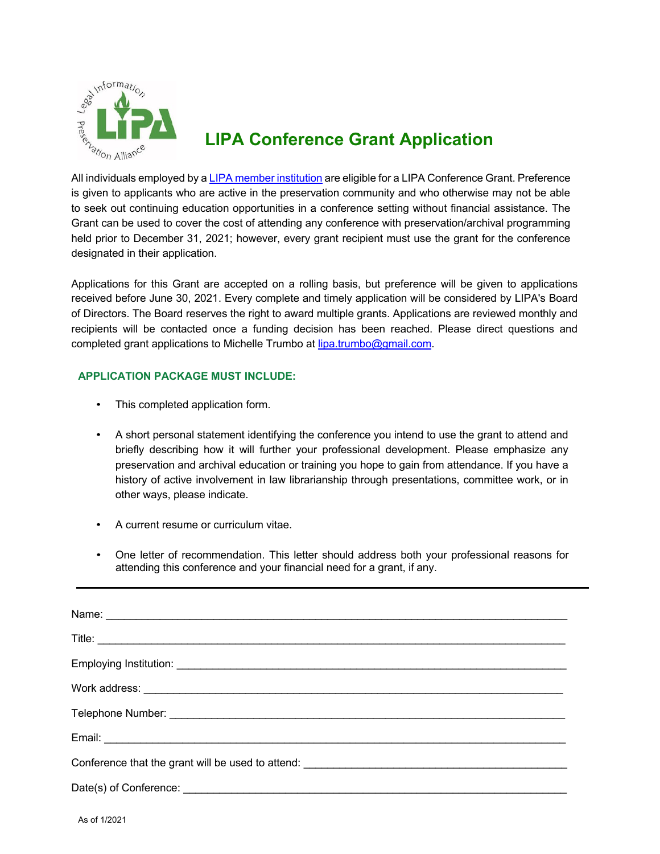

## **LIPA Conference Grant Application**

is given to applicants who are active in the preservation community and who otherwise may not be able to seek out continuing education opportunities in a conference setting without financial assistance. The Grant can be used to cover the cost of attending any conference with preservation/archival programming held prior to December 31, 2021; however, every grant recipient must use the grant for the conference designated in their application.

Applications for this Grant are accepted on a rolling basis, but preference will be given to applications received before June 30, 2021. Every complete and timely application will be considered by LIPA's Board of Directors. The Board reserves the right to award multiple grants. Applications are reviewed monthly and recipients will be contacted once a funding decision has been reached. Please direct questions and completed grant applications to Michelle Trumbo at lipa.trumbo@gmail.com.

## **APPLICATION PACKAGE MUST INCLUDE:**

- This completed application form.
- A short personal statement identifying the conference you intend to use the grant to attend and briefly describing how it will further your professional development. Please emphasize any preservation and archival education or training you hope to gain from attendance. If you have a history of active involvement in law librarianship through presentations, committee work, or in other ways, please indicate.
- A current resume or curriculum vitae.
- One letter of recommendation. This letter should address both your professional reasons for attending this conference and your financial need for a grant, if any.